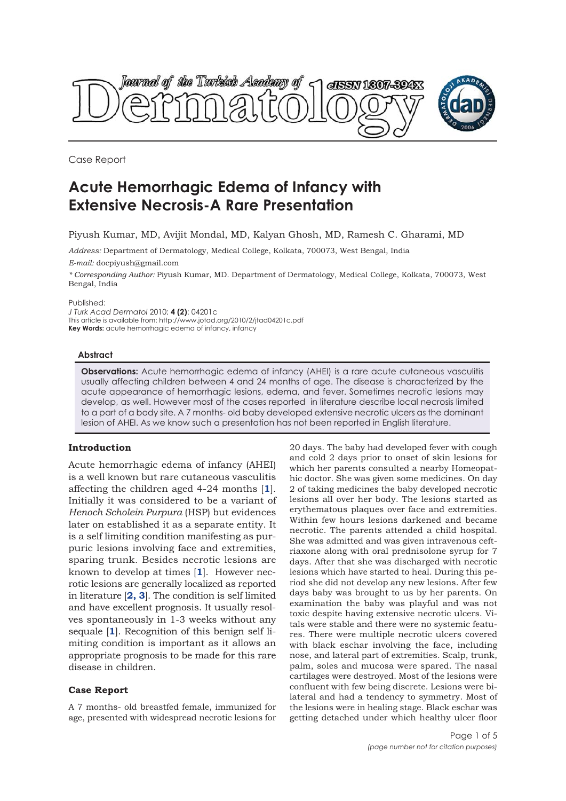

Case Report

# **Acute Hemorrhagic Edema of Infancy with Extensive Necrosis-A Rare Presentation**

Piyush Kumar, MD, Avijit Mondal, MD, Kalyan Ghosh, MD, Ramesh C. Gharami, MD

*Address:* Department of Dermatology, Medical College, Kolkata, 700073, West Bengal, India *E-mail:* docpiyush@gmail.com

*\* Corresponding Author:* Piyush Kumar, MD. Department of Dermatology, Medical College, Kolkata, 700073, West Bengal, India

Published:

*J Turk Acad Dermatol* 2010; **4 (2)**: 04201c This article is available from: http://www.jotad.org/2010/2/jtad04201c.pdf **Key Words:** acute hemorrhagic edema of infancy, infancy

#### **Abstract**

**Observations:** Acute hemorrhagic edema of infancy (AHEI) is a rare acute cutaneous vasculitis usually affecting children between 4 and 24 months of age. The disease is characterized by the acute appearance of hemorrhagic lesions, edema, and fever. Sometimes necrotic lesions may develop, as well. However most of the cases reported in literature describe local necrosis limited to a part of a body site. A 7 months- old baby developed extensive necrotic ulcers as the dominant lesion of AHEI. As we know such a presentation has not been reported in English literature.

## **Introduction**

Acute hemorrhagic edema of infancy (AHEI) is a well known but rare cutaneous vasculitis affecting the children aged 4-24 months [**1**]. Initially it was considered to be a variant of *Henoch Scholein Purpura* (HSP) but evidences later on established it as a separate entity. It is a self limiting condition manifesting as purpuric lesions involving face and extremities, sparing trunk. Besides necrotic lesions are known to develop at times [**1**]. However necrotic lesions are generally localized as reported in literature [**2, 3**]. The condition is self limited and have excellent prognosis. It usually resolves spontaneously in 1-3 weeks without any sequale [**1**]. Recognition of this benign self limiting condition is important as it allows an appropriate prognosis to be made for this rare disease in children.

## **Case Report**

A 7 months- old breastfed female, immunized for age, presented with widespread necrotic lesions for

20 days. The baby had developed fever with cough and cold 2 days prior to onset of skin lesions for which her parents consulted a nearby Homeopathic doctor. She was given some medicines. On day 2 of taking medicines the baby developed necrotic lesions all over her body. The lesions started as erythematous plaques over face and extremities. Within few hours lesions darkened and became necrotic. The parents attended a child hospital. She was admitted and was given intravenous ceftriaxone along with oral prednisolone syrup for 7 days. After that she was discharged with necrotic lesions which have started to heal. During this period she did not develop any new lesions. After few days baby was brought to us by her parents. On examination the baby was playful and was not toxic despite having extensive necrotic ulcers. Vitals were stable and there were no systemic features. There were multiple necrotic ulcers covered with black eschar involving the face, including nose, and lateral part of extremities. Scalp, trunk, palm, soles and mucosa were spared. The nasal cartilages were destroyed. Most of the lesions were confluent with few being discrete. Lesions were bilateral and had a tendency to symmetry. Most of the lesions were in healing stage. Black eschar was getting detached under which healthy ulcer floor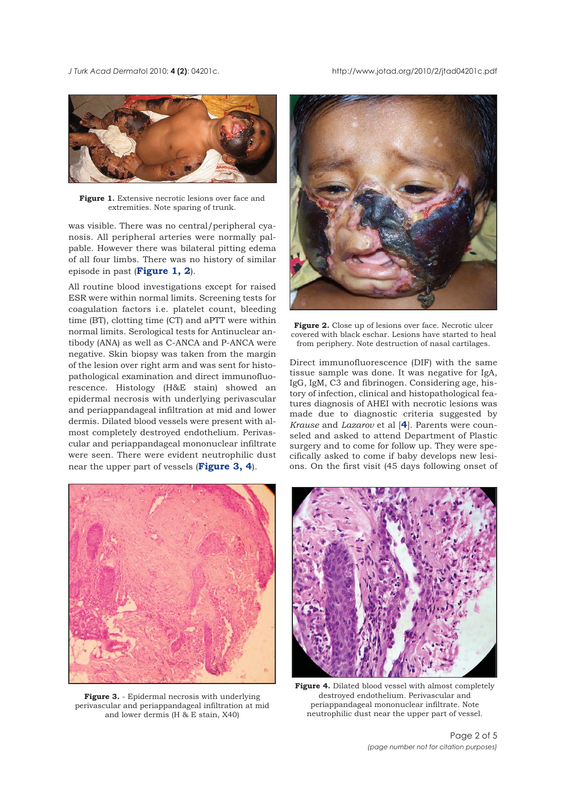*J Turk Acad Dermato*l 2010; **4 (2)**: 04201c. http://www.jotad.org/2010/2/jtad04201c.pdf



**Figure 1.** Extensive necrotic lesions over face and extremities. Note sparing of trunk.

was visible. There was no central/peripheral cyanosis. All peripheral arteries were normally palpable. However there was bilateral pitting edema of all four limbs. There was no history of similar episode in past (**Figure 1, 2**).

All routine blood investigations except for raised ESR were within normal limits. Screening tests for coagulation factors i.e. platelet count, bleeding time (BT), clotting time (CT) and aPTT were within normal limits. Serological tests for Antinuclear antibody (ANA) as well as C-ANCA and P-ANCA were negative. Skin biopsy was taken from the margin of the lesion over right arm and was sent for histopathological examination and direct immunofluorescence. Histology (H&E stain) showed an epidermal necrosis with underlying perivascular and periappandageal infiltration at mid and lower dermis. Dilated blood vessels were present with almost completely destroyed endothelium. Perivascular and periappandageal mononuclear infiltrate were seen. There were evident neutrophilic dust near the upper part of vessels (**Figure 3, 4**).



**Figure 3.** - Epidermal necrosis with underlying perivascular and periappandageal infiltration at mid and lower dermis (H & E stain, X40)



Figure 2. Close up of lesions over face. Necrotic ulcer covered with black eschar. Lesions have started to heal from periphery. Note destruction of nasal cartilages.

Direct immunofluorescence (DIF) with the same tissue sample was done. It was negative for IgA, IgG, IgM, C3 and fibrinogen. Considering age, history of infection, clinical and histopathological features diagnosis of AHEI with necrotic lesions was made due to diagnostic criteria suggested by *Krause* and *Lazarov* et al [**4**]. Parents were counseled and asked to attend Department of Plastic surgery and to come for follow up. They were specifically asked to come if baby develops new lesions. On the first visit (45 days following onset of



**Figure 4.** Dilated blood vessel with almost completely destroyed endothelium. Perivascular and periappandageal mononuclear infiltrate. Note neutrophilic dust near the upper part of vessel.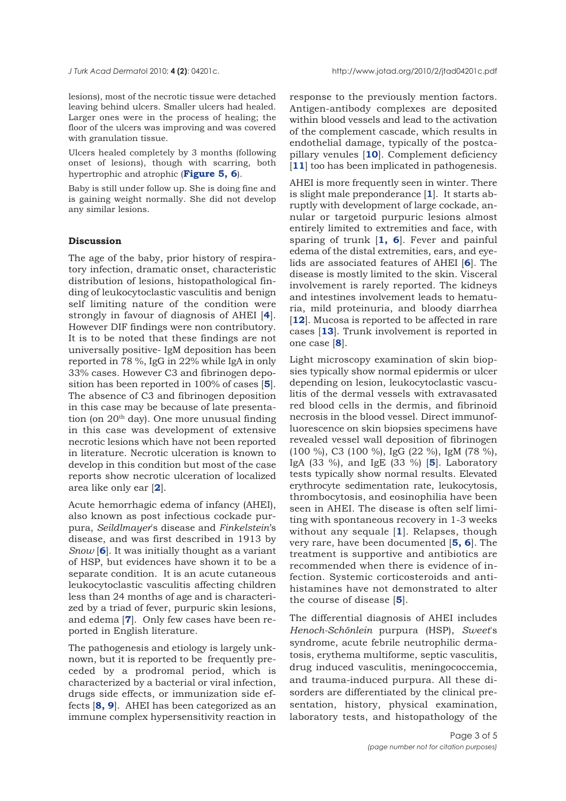lesions), most of the necrotic tissue were detached leaving behind ulcers. Smaller ulcers had healed. Larger ones were in the process of healing; the floor of the ulcers was improving and was covered with granulation tissue.

Ulcers healed completely by 3 months (following onset of lesions), though with scarring, both hypertrophic and atrophic (**Figure 5, 6**).

Baby is still under follow up. She is doing fine and is gaining weight normally. She did not develop any similar lesions.

## **Discussion**

The age of the baby, prior history of respiratory infection, dramatic onset, characteristic distribution of lesions, histopathological finding of leukocytoclastic vasculitis and benign self limiting nature of the condition were strongly in favour of diagnosis of AHEI [**4**]. However DIF findings were non contributory. It is to be noted that these findings are not universally positive- IgM deposition has been reported in 78 %, IgG in 22% while IgA in only 33% cases. However C3 and fibrinogen deposition has been reported in 100% of cases [**5**]. The absence of C3 and fibrinogen deposition in this case may be because of late presentation (on  $20<sup>th</sup>$  day). One more unusual finding in this case was development of extensive necrotic lesions which have not been reported in literature. Necrotic ulceration is known to develop in this condition but most of the case reports show necrotic ulceration of localized area like only ear [**2**].

Acute hemorrhagic edema of infancy (AHEI), also known as post infectious cockade purpura, *Seildlmayer*'s disease and *Finkelstein*'s disease, and was first described in 1913 by *Snow* [**6**]. It was initially thought as a variant of HSP, but evidences have shown it to be a separate condition. It is an acute cutaneous leukocytoclastic vasculitis affecting children less than 24 months of age and is characterized by a triad of fever, purpuric skin lesions, and edema [**7**]. Only few cases have been reported in English literature.

The pathogenesis and etiology is largely unknown, but it is reported to be frequently preceded by a prodromal period, which is characterized by a bacterial or viral infection, drugs side effects, or immunization side effects [**8, 9**]. AHEI has been categorized as an immune complex hypersensitivity reaction in response to the previously mention factors. Antigen-antibody complexes are deposited within blood vessels and lead to the activation of the complement cascade, which results in endothelial damage, typically of the postcapillary venules [**10**]. Complement deficiency [11] too has been implicated in pathogenesis.

AHEI is more frequently seen in winter. There is slight male preponderance [**1**]. It starts abruptly with development of large cockade, annular or targetoid purpuric lesions almost entirely limited to extremities and face, with sparing of trunk [**1, 6**]. Fever and painful edema of the distal extremities, ears, and eyelids are associated features of AHEI [**6**]. The disease is mostly limited to the skin. Visceral involvement is rarely reported. The kidneys and intestines involvement leads to hematuria, mild proteinuria, and bloody diarrhea [12]. Mucosa is reported to be affected in rare cases [**13**]. Trunk involvement is reported in one case [**8**].

Light microscopy examination of skin biopsies typically show normal epidermis or ulcer depending on lesion, leukocytoclastic vasculitis of the dermal vessels with extravasated red blood cells in the dermis, and fibrinoid necrosis in the blood vessel. Direct immunofluorescence on skin biopsies specimens have revealed vessel wall deposition of fibrinogen (100 %), C3 (100 %), IgG (22 %), IgM (78 %), IgA (33 %), and IgE (33 %) [**5**]. Laboratory tests typically show normal results. Elevated erythrocyte sedimentation rate, leukocytosis, thrombocytosis, and eosinophilia have been seen in AHEI. The disease is often self limiting with spontaneous recovery in 1-3 weeks without any sequale [**1**]. Relapses, though very rare, have been documented [**5, 6**]. The treatment is supportive and antibiotics are recommended when there is evidence of infection. Systemic corticosteroids and antihistamines have not demonstrated to alter the course of disease [**5**].

The differential diagnosis of AHEI includes *Henoch-Schönlein* purpura (HSP), *Sweet*'s syndrome, acute febrile neutrophilic dermatosis, erythema multiforme, septic vasculitis, drug induced vasculitis, meningococcemia, and trauma-induced purpura. All these disorders are differentiated by the clinical presentation, history, physical examination, laboratory tests, and histopathology of the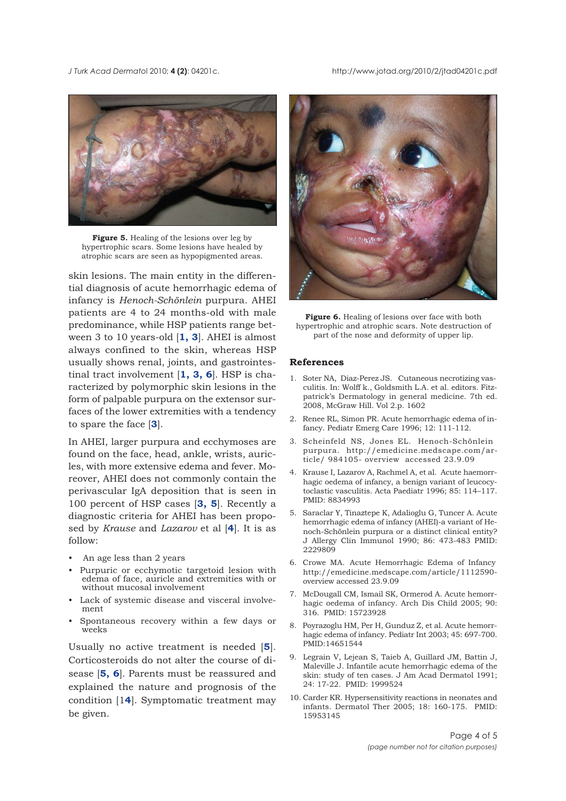*J Turk Acad Dermato*l 2010; **4 (2)**: 04201c. http://www.jotad.org/2010/2/jtad04201c.pdf



**Figure 5.** Healing of the lesions over leg by hypertrophic scars. Some lesions have healed by atrophic scars are seen as hypopigmented areas.

skin lesions. The main entity in the differential diagnosis of acute hemorrhagic edema of infancy is *Henoch-Schönlein* purpura. AHEI patients are 4 to 24 months-old with male predominance, while HSP patients range between 3 to 10 years-old [**1, 3**]. AHEI is almost always confined to the skin, whereas HSP usually shows renal, joints, and gastrointestinal tract involvement [**1, 3, 6**]. HSP is characterized by polymorphic skin lesions in the form of palpable purpura on the extensor surfaces of the lower extremities with a tendency to spare the face [**3**].

In AHEI, larger purpura and ecchymoses are found on the face, head, ankle, wrists, auricles, with more extensive edema and fever. Moreover, AHEI does not commonly contain the perivascular IgA deposition that is seen in 100 percent of HSP cases [**3, 5**]. Recently a diagnostic criteria for AHEI has been proposed by *Krause* and *Lazarov* et al [**4**]. It is as follow:

- An age less than 2 years
- Purpuric or ecchymotic targetoid lesion with edema of face, auricle and extremities with or without mucosal involvement
- Lack of systemic disease and visceral involvement
- Spontaneous recovery within a few days or weeks

Usually no active treatment is needed [**5**]. Corticosteroids do not alter the course of disease [**5, 6**]. Parents must be reassured and explained the nature and prognosis of the condition [1**4**]. Symptomatic treatment may be given.



**Figure 6.** Healing of lesions over face with both hypertrophic and atrophic scars. Note destruction of part of the nose and deformity of upper lip.

#### **References**

- 1. Soter NA, Diaz-Perez JS. Cutaneous necrotizing vasculitis. In: Wolff k., Goldsmith L.A. et al. editors. Fitzpatrick's Dermatology in general medicine. 7th ed. 2008, McGraw Hill. Vol 2.p. 1602
- 2. Renee RL, Simon PR. Acute hemorrhagic edema of infancy. Pediatr Emerg Care 1996; 12: 111-112.
- 3. Scheinfeld NS, Jones EL. Henoch-Schönlein purpura. http://emedicine.medscape.com/article/ 984105- overview accessed 23.9.09
- 4. Krause I, Lazarov A, Rachmel A, et al. Acute haemorrhagic oedema of infancy, a benign variant of leucocytoclastic vasculitis. Acta Paediatr 1996; 85: 114–117. PMID: 8834993
- 5. Saraclar Y, Tinaztepe K, Adalioglu G, Tuncer A. Acute hemorrhagic edema of infancy (AHEI)-a variant of Henoch-Schönlein purpura or a distinct clinical entity? J Allergy Clin Immunol 1990; 86: 473-483 PMID: 2229809
- 6. Crowe MA. Acute Hemorrhagic Edema of Infancy http://emedicine.medscape.com/article/1112590 overview accessed 23.9.09
- 7. McDougall CM, Ismail SK, Ormerod A. Acute hemorrhagic oedema of infancy. Arch Dis Child 2005; 90: 316. PMID: 15723928
- 8. Poyrazoglu HM, Per H, Gunduz Z, et al. Acute hemorrhagic edema of infancy. Pediatr Int 2003; 45: 697-700. PMID:14651544
- 9. Legrain V, Lejean S, Taieb A, Guillard JM, Battin J, Maleville J. Infantile acute hemorrhagic edema of the skin: study of ten cases. J Am Acad Dermatol 1991; 24: 17-22. PMID: 1999524
- 10. Carder KR. Hypersensitivity reactions in neonates and infants. Dermatol Ther 2005; 18: 160-175. PMID: 15953145